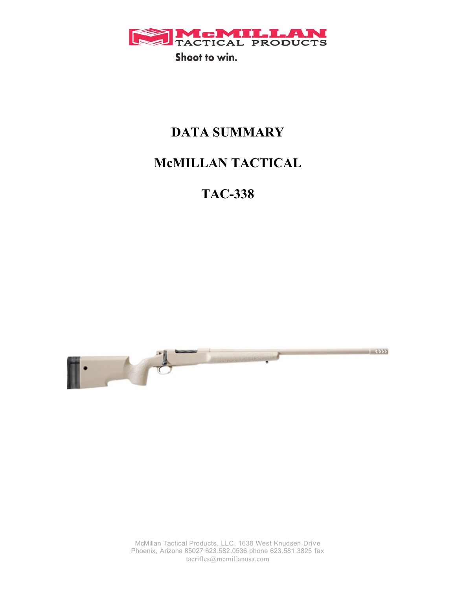

# **DATA SUMMARY**

# **McMILLAN TACTICAL**

**TAC-338**



McMillan Tactical Products, LLC. 1638 West Knudsen Drive Phoenix, Arizona 85027 623.582.0536 phone 623.581.3825 fax tacrifles@mcmillanusa.com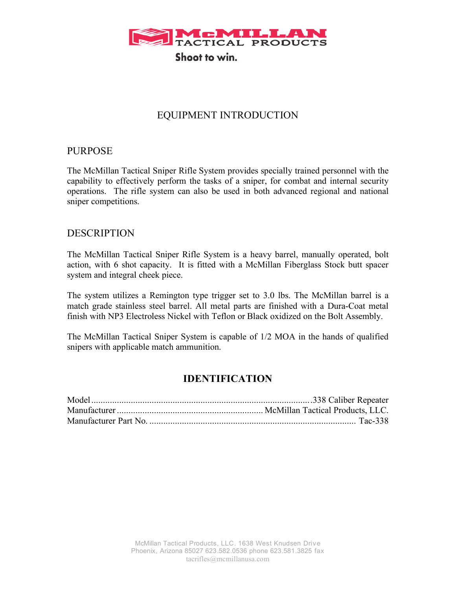

## EQUIPMENT INTRODUCTION

## PURPOSE

The McMillan Tactical Sniper Rifle System provides specially trained personnel with the capability to effectively perform the tasks of a sniper, for combat and internal security operations. The rifle system can also be used in both advanced regional and national sniper competitions.

## DESCRIPTION

The McMillan Tactical Sniper Rifle System is a heavy barrel, manually operated, bolt action, with 6 shot capacity. It is fitted with a McMillan Fiberglass Stock butt spacer system and integral cheek piece.

The system utilizes a Remington type trigger set to 3.0 lbs. The McMillan barrel is a match grade stainless steel barrel. All metal parts are finished with a Dura-Coat metal finish with NP3 Electroless Nickel with Teflon or Black oxidized on the Bolt Assembly.

The McMillan Tactical Sniper System is capable of 1/2 MOA in the hands of qualified snipers with applicable match ammunition.

## **IDENTIFICATION**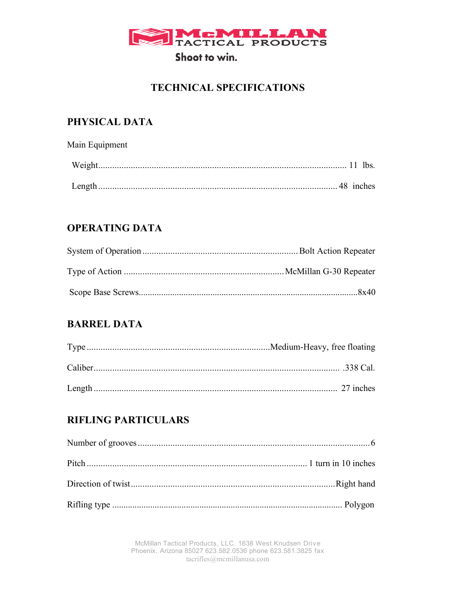

# **TECHNICAL SPECIFICATIONS**

# PHYSICAL DATA

Main Equipment 

# **OPERATING DATA**

# **BARREL DATA**

# **RIFLING PARTICULARS**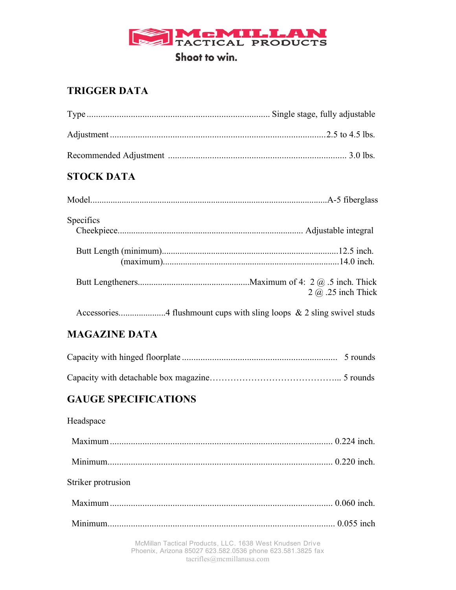

# **TRIGGER DATA**

# **STOCK DATA**

| <b>Specifics</b> |                             |
|------------------|-----------------------------|
|                  |                             |
|                  |                             |
|                  |                             |
|                  |                             |
|                  | $2$ $\omega$ .25 inch Thick |
|                  |                             |

# **MAGAZINE DATA**

# **GAUGE SPECIFICATIONS**

| Headspace          |  |
|--------------------|--|
|                    |  |
|                    |  |
| Striker protrusion |  |
|                    |  |
|                    |  |
|                    |  |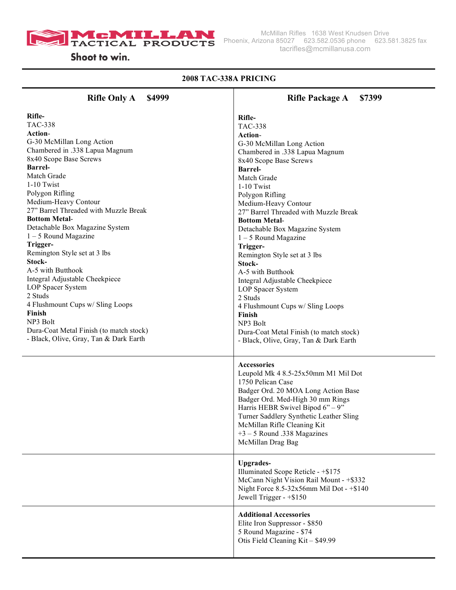

Shoot to win.

## **2008 TAC-338A PRICING**

| <b>Rifle Only A</b>                     | <b>Rifle Package A</b>                                                                                                                                                                                                                                                                                                                                                                                                                                                           |
|-----------------------------------------|----------------------------------------------------------------------------------------------------------------------------------------------------------------------------------------------------------------------------------------------------------------------------------------------------------------------------------------------------------------------------------------------------------------------------------------------------------------------------------|
| \$4999                                  | \$7399                                                                                                                                                                                                                                                                                                                                                                                                                                                                           |
| Rifle-                                  | Rifle-                                                                                                                                                                                                                                                                                                                                                                                                                                                                           |
| <b>TAC-338</b>                          | <b>TAC-338</b>                                                                                                                                                                                                                                                                                                                                                                                                                                                                   |
| Action-                                 | Action-                                                                                                                                                                                                                                                                                                                                                                                                                                                                          |
| G-30 McMillan Long Action               | G-30 McMillan Long Action                                                                                                                                                                                                                                                                                                                                                                                                                                                        |
| Chambered in .338 Lapua Magnum          | Chambered in .338 Lapua Magnum                                                                                                                                                                                                                                                                                                                                                                                                                                                   |
| 8x40 Scope Base Screws                  | 8x40 Scope Base Screws                                                                                                                                                                                                                                                                                                                                                                                                                                                           |
| <b>Barrel-</b>                          | <b>Barrel-</b>                                                                                                                                                                                                                                                                                                                                                                                                                                                                   |
| Match Grade                             | Match Grade                                                                                                                                                                                                                                                                                                                                                                                                                                                                      |
| 1-10 Twist                              | 1-10 Twist                                                                                                                                                                                                                                                                                                                                                                                                                                                                       |
| Polygon Rifling                         | Polygon Rifling                                                                                                                                                                                                                                                                                                                                                                                                                                                                  |
| Medium-Heavy Contour                    | Medium-Heavy Contour                                                                                                                                                                                                                                                                                                                                                                                                                                                             |
| 27" Barrel Threaded with Muzzle Break   | 27" Barrel Threaded with Muzzle Break                                                                                                                                                                                                                                                                                                                                                                                                                                            |
| <b>Bottom Metal-</b>                    | <b>Bottom Metal-</b>                                                                                                                                                                                                                                                                                                                                                                                                                                                             |
| Detachable Box Magazine System          | Detachable Box Magazine System                                                                                                                                                                                                                                                                                                                                                                                                                                                   |
| $1 - 5$ Round Magazine                  | $1 - 5$ Round Magazine                                                                                                                                                                                                                                                                                                                                                                                                                                                           |
| Trigger-                                | Trigger-                                                                                                                                                                                                                                                                                                                                                                                                                                                                         |
| Remington Style set at 3 lbs            | Remington Style set at 3 lbs                                                                                                                                                                                                                                                                                                                                                                                                                                                     |
| Stock-                                  | Stock-                                                                                                                                                                                                                                                                                                                                                                                                                                                                           |
| A-5 with Butthook                       | A-5 with Butthook                                                                                                                                                                                                                                                                                                                                                                                                                                                                |
| Integral Adjustable Cheekpiece          | Integral Adjustable Cheekpiece                                                                                                                                                                                                                                                                                                                                                                                                                                                   |
| LOP Spacer System                       | LOP Spacer System                                                                                                                                                                                                                                                                                                                                                                                                                                                                |
| 2 Studs                                 | 2 Studs                                                                                                                                                                                                                                                                                                                                                                                                                                                                          |
| 4 Flushmount Cups w/ Sling Loops        | 4 Flushmount Cups w/ Sling Loops                                                                                                                                                                                                                                                                                                                                                                                                                                                 |
| Finish                                  | Finish                                                                                                                                                                                                                                                                                                                                                                                                                                                                           |
| NP3 Bolt                                | NP3 Bolt                                                                                                                                                                                                                                                                                                                                                                                                                                                                         |
| Dura-Coat Metal Finish (to match stock) | Dura-Coat Metal Finish (to match stock)                                                                                                                                                                                                                                                                                                                                                                                                                                          |
| - Black, Olive, Gray, Tan & Dark Earth  | - Black, Olive, Gray, Tan & Dark Earth                                                                                                                                                                                                                                                                                                                                                                                                                                           |
|                                         | Accessories<br>Leupold Mk 4 8.5-25x50mm M1 Mil Dot<br>1750 Pelican Case<br>Badger Ord. 20 MOA Long Action Base<br>Badger Ord. Med-High 30 mm Rings<br>Harris HEBR Swivel Bipod $6" - 9"$<br>Turner Saddlery Synthetic Leather Sling<br>McMillan Rifle Cleaning Kit<br>$+3 - 5$ Round .338 Magazines<br>McMillan Drag Bag<br><b>Upgrades-</b><br>Illuminated Scope Reticle - +\$175<br>McCann Night Vision Rail Mount - +\$332<br>Night Force $8.5 - 32x56$ mm Mil Dot - $+ $140$ |
|                                         | Jewell Trigger $-$ +\$150<br><b>Additional Accessories</b><br>Elite Iron Suppressor - \$850<br>5 Round Magazine - \$74<br>Otis Field Cleaning Kit - \$49.99                                                                                                                                                                                                                                                                                                                      |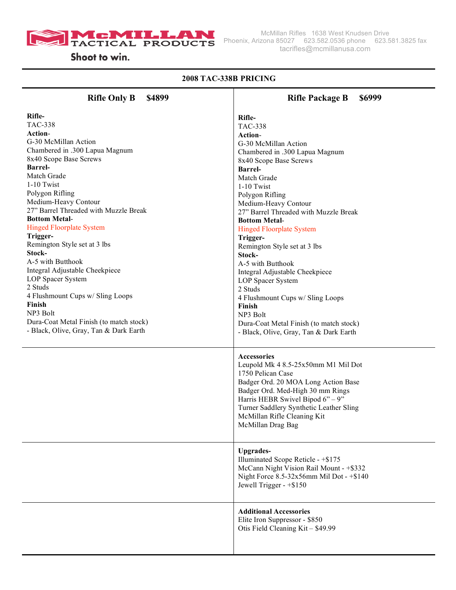

#### **2008 TAC-338B PRICING Rifle Only B \$4899 Rifle-**TAC-338 **Action**-G-30 McMillan Action Chambered in .300 Lapua Magnum 8x40 Scope Base Screws **Barrel-**Match Grade 1-10 Twist Polygon Rifling Medium-Heavy Contour 27" Barrel Threaded with Muzzle Break **Bottom Metal**-Hinged Floorplate System **Trigger-**Remington Style set at 3 lbs **Stock-**A-5 with Butthook Integral Adjustable Cheekpiece LOP Spacer System 2 Studs 4 Flushmount Cups w/ Sling Loops **Finish** NP3 Bolt Dura-Coat Metal Finish (to match stock) - Black, Olive, Gray, Tan & Dark Earth **Rifle Package B \$6999 Rifle-**TAC-338 **Action**-G-30 McMillan Action Chambered in .300 Lapua Magnum 8x40 Scope Base Screws **Barrel-**Match Grade 1-10 Twist Polygon Rifling Medium-Heavy Contour 27" Barrel Threaded with Muzzle Break **Bottom Metal**-Hinged Floorplate System **Trigger-**Remington Style set at 3 lbs **Stock-**A-5 with Butthook Integral Adjustable Cheekpiece LOP Spacer System 2 Studs 4 Flushmount Cups w/ Sling Loops **Finish** NP3 Bolt Dura-Coat Metal Finish (to match stock) - Black, Olive, Gray, Tan & Dark Earth **Accessories** Leupold Mk 4 8.5-25x50mm M1 Mil Dot 1750 Pelican Case Badger Ord. 20 MOA Long Action Base Badger Ord. Med-High 30 mm Rings Harris HEBR Swivel Bipod  $6" - 9"$ Turner Saddlery Synthetic Leather Sling McMillan Rifle Cleaning Kit McMillan Drag Bag **Upgrades-**Illuminated Scope Reticle - +\$175 McCann Night Vision Rail Mount - +\$332 Night Force 8.5-32x56mm Mil Dot - +\$140 Jewell Trigger - +\$150 **Additional Accessories**  Elite Iron Suppressor - \$850 Otis Field Cleaning Kit – \$49.99